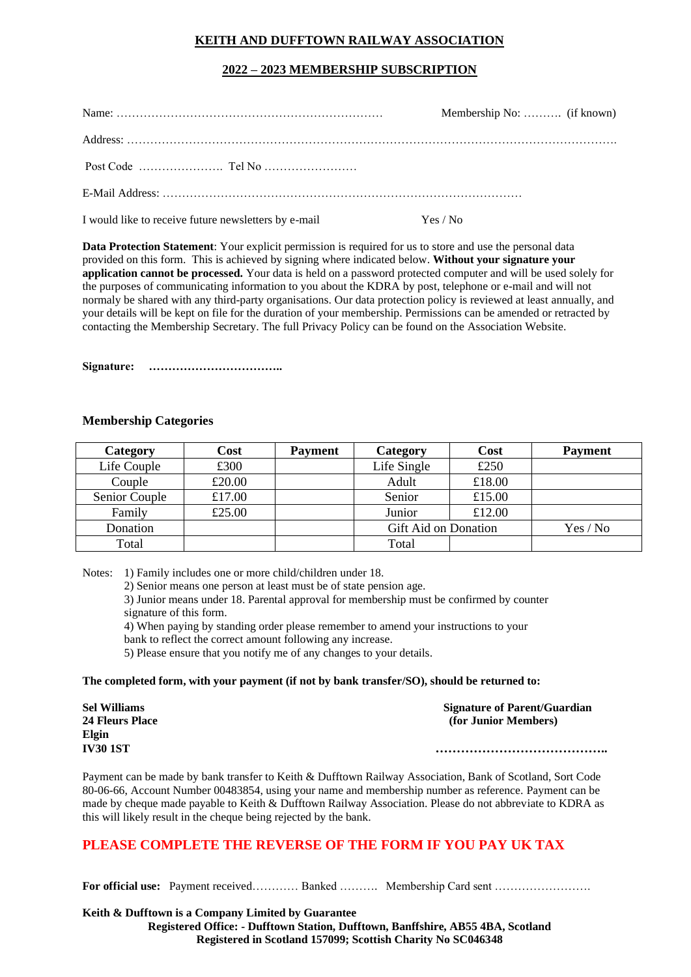## **KEITH AND DUFFTOWN RAILWAY ASSOCIATION**

## **2022 – 2023 MEMBERSHIP SUBSCRIPTION**

|                                                      | Membership No:  (if known) |
|------------------------------------------------------|----------------------------|
|                                                      |                            |
|                                                      |                            |
|                                                      |                            |
| I would like to receive future newsletters by e-mail | Yes / No                   |

**Data Protection Statement**: Your explicit permission is required for us to store and use the personal data provided on this form. This is achieved by signing where indicated below. **Without your signature your application cannot be processed.** Your data is held on a password protected computer and will be used solely for the purposes of communicating information to you about the KDRA by post, telephone or e-mail and will not normaly be shared with any third-party organisations. Our data protection policy is reviewed at least annually, and your details will be kept on file for the duration of your membership. Permissions can be amended or retracted by contacting the Membership Secretary. The full Privacy Policy can be found on the Association Website.

**Signature: ……………………………..** 

### **Membership Categories**

| Category      | Cost   | <b>Payment</b> | Category             | Cost   | <b>Payment</b> |
|---------------|--------|----------------|----------------------|--------|----------------|
| Life Couple   | £300   |                | Life Single          | £250   |                |
| Couple        | £20.00 |                | Adult                | £18.00 |                |
| Senior Couple | £17.00 |                | Senior               | £15.00 |                |
| Family        | £25.00 |                | Junior               | £12.00 |                |
| Donation      |        |                | Gift Aid on Donation |        | Yes / No       |
| Total         |        |                | Total                |        |                |

Notes: 1) Family includes one or more child/children under 18.

2) Senior means one person at least must be of state pension age.

3) Junior means under 18. Parental approval for membership must be confirmed by counter signature of this form.

4) When paying by standing order please remember to amend your instructions to your bank to reflect the correct amount following any increase.

5) Please ensure that you notify me of any changes to your details.

#### **The completed form, with your payment (if not by bank transfer/SO), should be returned to:**

| <b>Sel Williams</b>    |
|------------------------|
| <b>24 Fleurs Place</b> |
| Elgin                  |
| <b>IV30 1ST</b>        |

**Signature of Parent/Guardian 24 Fleurs Place (for Junior Members)**

**IV30 1ST …………………………………..**

Payment can be made by bank transfer to Keith & Dufftown Railway Association, Bank of Scotland, Sort Code 80-06-66, Account Number 00483854, using your name and membership number as reference. Payment can be made by cheque made payable to Keith & Dufftown Railway Association. Please do not abbreviate to KDRA as this will likely result in the cheque being rejected by the bank.

## **PLEASE COMPLETE THE REVERSE OF THE FORM IF YOU PAY UK TAX**

**For official use:** Payment received………… Banked ………. Membership Card sent …………………….

**Keith & Dufftown is a Company Limited by Guarantee**

**Registered Office: - Dufftown Station, Dufftown, Banffshire, AB55 4BA, Scotland Registered in Scotland 157099; Scottish Charity No SC046348**